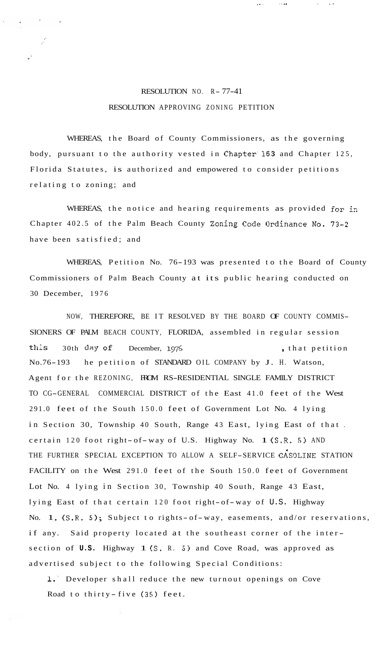## RESOLUTION NO. R- 77-41 RESOLUTION APPROVING ZONING PETITION

. . .. . ..

 $\sqrt{2}$  .

WHEREAS, the Board of County Commissioners, as the governing body, pursuant to the authority vested in Chapter'l63 and Chapter 125, Florida Statutes, is authorized and empowered to consider petitions relating to zoning; and

WHEREAS, the notice and hearing requirements as provided for in Chapter 402.5 of the Palm Beach County Zoning Code Ordinance No. 73-2 have been satisfied; and

WHEREAS, Petition No. 76-193 was presented to the Board of County Commissioners of Palm Beach County at its public hearing conducted on 30 December, 1976

NOW, THEREFORE, BE IT RESOLVED BY THE BOARD OF COUNTY COMMIS-SIONERS OF PALM BEACH COUNTY, FLORIDA, assembled in regular session this 30th day of December, 1976 (that petition No.76-193 he petition of STANDARD OIL COMPANY by J. H. Watson, Agent for the REZONING, FROM RS-RESIDENTIAL SINGLE FAMILY DISTRICT TO CG-GENERAL COMMERCIAL DISTRICT of the East 41.0 feet of the West 291.0 feet of the South 150.0 feet of Government Lot No. 4 lying in Section 30, Township 40 South, Range 43 East, lying East of that . certain 120 foot right- of- way of U.S. Highway No. 1 (S.R. 5) AND THE FURTHER SPECIAL EXCEPTION TO ALLOW A SELF-SERVICE GASOLINE STATION FACILITY on the West 291.0 feet of the South 150.0 feet of Government Lot No. 4 lying in Section 30, Township 40 South, Range 43 East, lying East of that certain 120 foot right-of-way of U.S. Highway No. 1, (S.R. 5); Subject to rights-of-way, easements, and/or reservations, if any. Said property located at the southeast corner of the intersection of **U.S.** Highway 1 *(S.* R. 5) and Cove Road, was approved as advertised subject to the following Special Conditions:

1. Developer shall reduce the new turnout openings on Cove Road to thirty - five (35) feet.